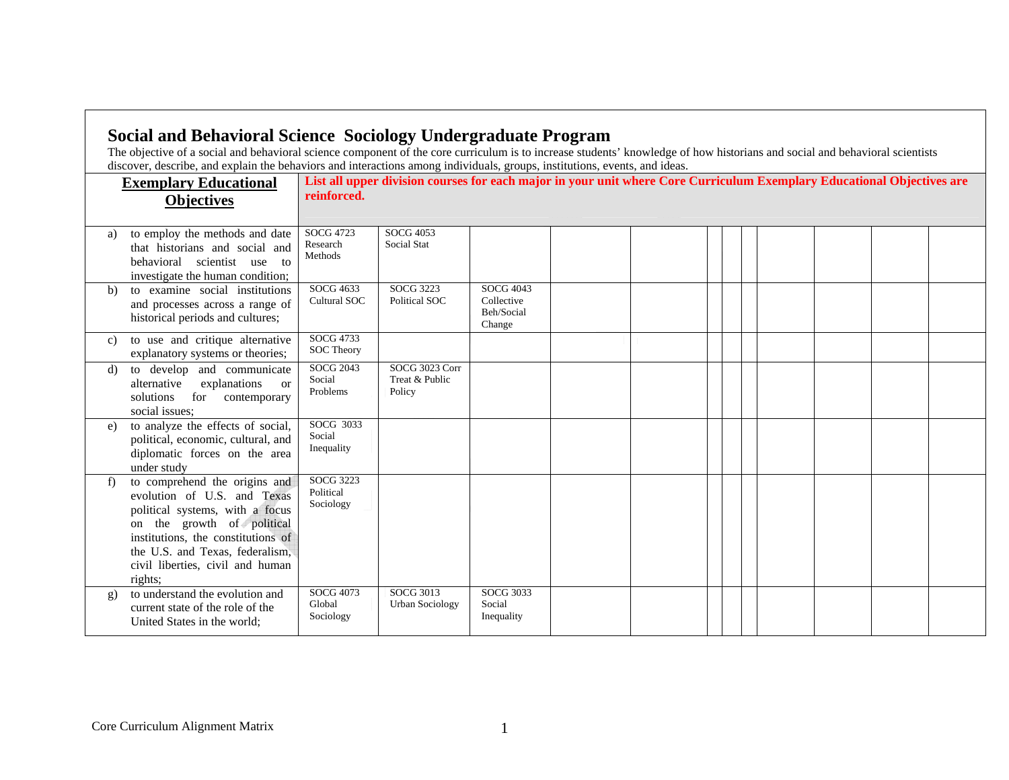|              | <b>Exemplary Educational</b>                                                                                                                                                                                                                          | reinforced.                         | discover, describe, and explain the behaviors and interactions among individuals, groups, institutions, events, and ideas.<br>List all upper division courses for each major in your unit where Core Curriculum Exemplary Educational Objectives are |                                                 |  |  |  |  |  |  |  |  |  |  |
|--------------|-------------------------------------------------------------------------------------------------------------------------------------------------------------------------------------------------------------------------------------------------------|-------------------------------------|------------------------------------------------------------------------------------------------------------------------------------------------------------------------------------------------------------------------------------------------------|-------------------------------------------------|--|--|--|--|--|--|--|--|--|--|
|              | <b>Objectives</b>                                                                                                                                                                                                                                     |                                     |                                                                                                                                                                                                                                                      |                                                 |  |  |  |  |  |  |  |  |  |  |
| a)           | to employ the methods and date<br>that historians and social and<br>behavioral scientist use to<br>investigate the human condition;                                                                                                                   | SOCG 4723<br>Research<br>Methods    | <b>SOCG 4053</b><br><b>Social Stat</b>                                                                                                                                                                                                               |                                                 |  |  |  |  |  |  |  |  |  |  |
| b)           | to examine social institutions<br>and processes across a range of<br>historical periods and cultures;                                                                                                                                                 | SOCG 4633<br>Cultural SOC           | SOCG 3223<br>Political SOC                                                                                                                                                                                                                           | SOCG 4043<br>Collective<br>Beh/Social<br>Change |  |  |  |  |  |  |  |  |  |  |
| C)           | to use and critique alternative<br>explanatory systems or theories;                                                                                                                                                                                   | SOCG 4733<br><b>SOC Theory</b>      |                                                                                                                                                                                                                                                      |                                                 |  |  |  |  |  |  |  |  |  |  |
| d)           | to develop and communicate<br>alternative<br>explanations<br><sub>or</sub><br>solutions<br>for contemporary<br>social issues;                                                                                                                         | SOCG 2043<br>Social<br>Problems     | SOCG 3023 Corr<br>Treat & Public<br>Policy                                                                                                                                                                                                           |                                                 |  |  |  |  |  |  |  |  |  |  |
| e)           | to analyze the effects of social,<br>political, economic, cultural, and<br>diplomatic forces on the area<br>under study                                                                                                                               | SOCG 3033<br>Social<br>Inequality   |                                                                                                                                                                                                                                                      |                                                 |  |  |  |  |  |  |  |  |  |  |
| f)           | to comprehend the origins and<br>evolution of U.S. and Texas<br>political systems, with a focus<br>on the growth of political<br>institutions, the constitutions of<br>the U.S. and Texas, federalism,<br>civil liberties, civil and human<br>rights; | SOCG 3223<br>Political<br>Sociology |                                                                                                                                                                                                                                                      |                                                 |  |  |  |  |  |  |  |  |  |  |
| $\mathbf{g}$ | to understand the evolution and<br>current state of the role of the<br>United States in the world;                                                                                                                                                    | SOCG 4073<br>Global<br>Sociology    | SOCG 3013<br><b>Urban Sociology</b>                                                                                                                                                                                                                  | SOCG 3033<br>Social<br>Inequality               |  |  |  |  |  |  |  |  |  |  |

┑

ா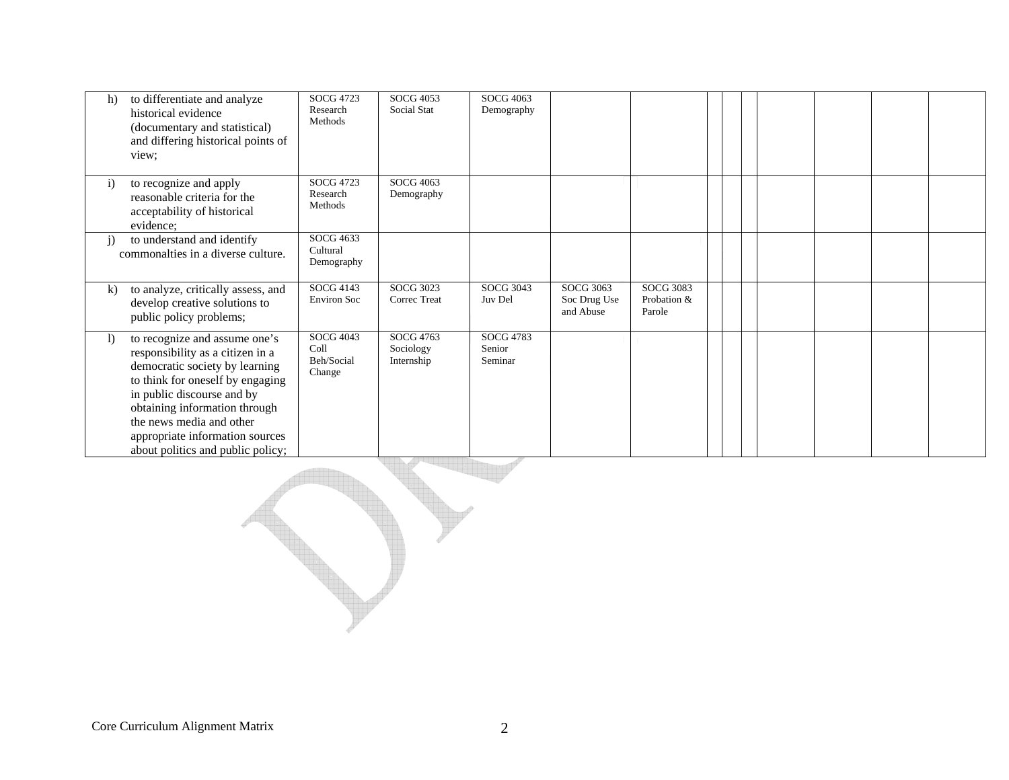| h)           | to differentiate and analyze<br>historical evidence<br>(documentary and statistical)<br>and differing historical points of<br>view;                                                                                                                                                                        | SOCG 4723<br>Research<br>Methods          | SOCG 4053<br>Social Stat             | SOCG 4063<br>Demography        |                                               |                                           |  |  |  |
|--------------|------------------------------------------------------------------------------------------------------------------------------------------------------------------------------------------------------------------------------------------------------------------------------------------------------------|-------------------------------------------|--------------------------------------|--------------------------------|-----------------------------------------------|-------------------------------------------|--|--|--|
| $\mathbf{i}$ | to recognize and apply<br>reasonable criteria for the<br>acceptability of historical<br>evidence;                                                                                                                                                                                                          | SOCG 4723<br>Research<br>Methods          | SOCG 4063<br>Demography              |                                |                                               |                                           |  |  |  |
| $\mathbf{i}$ | to understand and identify<br>commonalties in a diverse culture.                                                                                                                                                                                                                                           | SOCG 4633<br>Cultural<br>Demography       |                                      |                                |                                               |                                           |  |  |  |
| $\bf k$      | to analyze, critically assess, and<br>develop creative solutions to<br>public policy problems;                                                                                                                                                                                                             | SOCG 4143<br><b>Environ Soc</b>           | <b>SOCG 3023</b><br>Correc Treat     | SOCG 3043<br>Juv Del           | <b>SOCG 3063</b><br>Soc Drug Use<br>and Abuse | <b>SOCG 3083</b><br>Probation &<br>Parole |  |  |  |
| $\mathbf{I}$ | to recognize and assume one's<br>responsibility as a citizen in a<br>democratic society by learning<br>to think for oneself by engaging<br>in public discourse and by<br>obtaining information through<br>the news media and other<br>appropriate information sources<br>about politics and public policy; | SOCG 4043<br>Coll<br>Beh/Social<br>Change | SOCG 4763<br>Sociology<br>Internship | SOCG 4783<br>Senior<br>Seminar |                                               |                                           |  |  |  |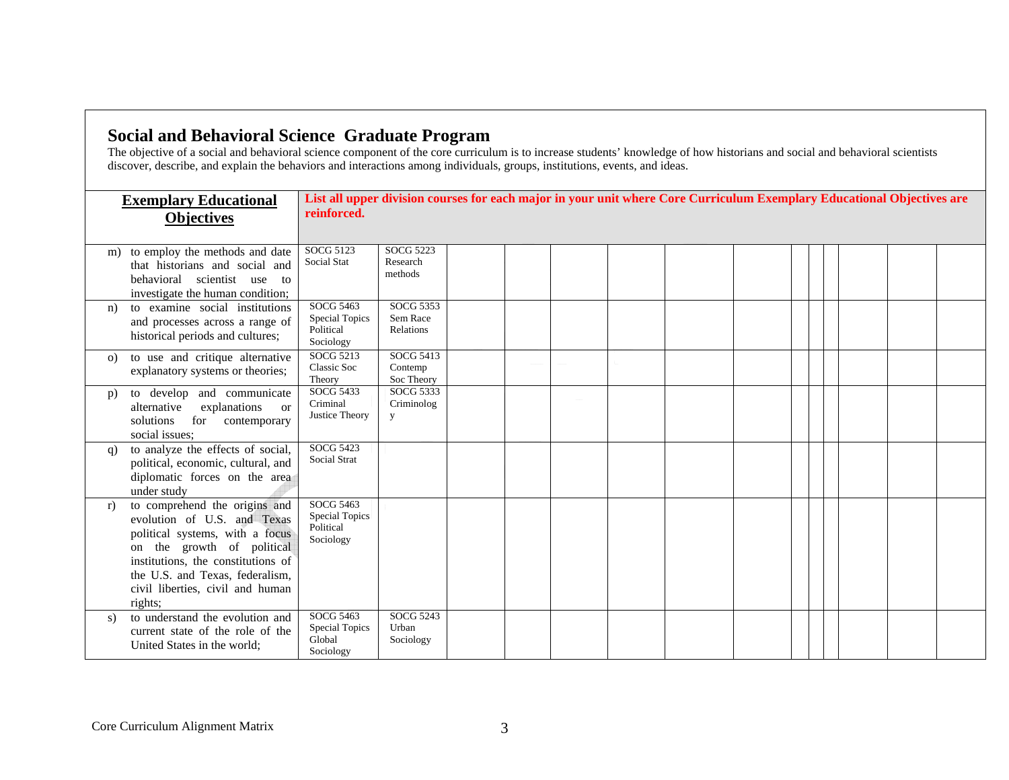## **Social and Behavioral Science Graduate Program**

The objective of a social and behavioral science component of the core curriculum is to increase students' knowledge of how historians and social and behavioral scientists discover, describe, and explain the behaviors and interactions among individuals, groups, institutions, events, and ideas.

|          | <b>Exemplary Educational</b><br><b>Objectives</b>                                                                                                                                                                                                     | List all upper division courses for each major in your unit where Core Curriculum Exemplary Educational Objectives are<br>reinforced. |                                         |  |  |  |  |  |  |  |  |  |  |  |
|----------|-------------------------------------------------------------------------------------------------------------------------------------------------------------------------------------------------------------------------------------------------------|---------------------------------------------------------------------------------------------------------------------------------------|-----------------------------------------|--|--|--|--|--|--|--|--|--|--|--|
| m)       | to employ the methods and date<br>that historians and social and<br>behavioral scientist use to<br>investigate the human condition;                                                                                                                   | SOCG 5123<br>Social Stat                                                                                                              | <b>SOCG 5223</b><br>Research<br>methods |  |  |  |  |  |  |  |  |  |  |  |
| n)       | to examine social institutions<br>and processes across a range of<br>historical periods and cultures;                                                                                                                                                 | SOCG 5463<br><b>Special Topics</b><br>Political<br>Sociology                                                                          | SOCG 5353<br>Sem Race<br>Relations      |  |  |  |  |  |  |  |  |  |  |  |
| $\Omega$ | to use and critique alternative<br>explanatory systems or theories;                                                                                                                                                                                   | SOCG 5213<br>Classic Soc<br>Theory                                                                                                    | SOCG 5413<br>Contemp<br>Soc Theory      |  |  |  |  |  |  |  |  |  |  |  |
| p)       | to develop and communicate<br>alternative<br>explanations<br><sub>or</sub><br>solutions for contemporary<br>social issues;                                                                                                                            | SOCG 5433<br>Criminal<br>Justice Theory                                                                                               | SOCG 5333<br>Criminolog<br>y            |  |  |  |  |  |  |  |  |  |  |  |
| q)       | to analyze the effects of social,<br>political, economic, cultural, and<br>diplomatic forces on the area<br>under study                                                                                                                               | SOCG 5423<br>Social Strat                                                                                                             |                                         |  |  |  |  |  |  |  |  |  |  |  |
| r)       | to comprehend the origins and<br>evolution of U.S. and Texas<br>political systems, with a focus<br>on the growth of political<br>institutions, the constitutions of<br>the U.S. and Texas, federalism,<br>civil liberties, civil and human<br>rights: | SOCG 5463<br><b>Special Topics</b><br>Political<br>Sociology                                                                          |                                         |  |  |  |  |  |  |  |  |  |  |  |
| S)       | to understand the evolution and<br>current state of the role of the<br>United States in the world;                                                                                                                                                    | SOCG 5463<br><b>Special Topics</b><br>Global<br>Sociology                                                                             | SOCG 5243<br>Urban<br>Sociology         |  |  |  |  |  |  |  |  |  |  |  |